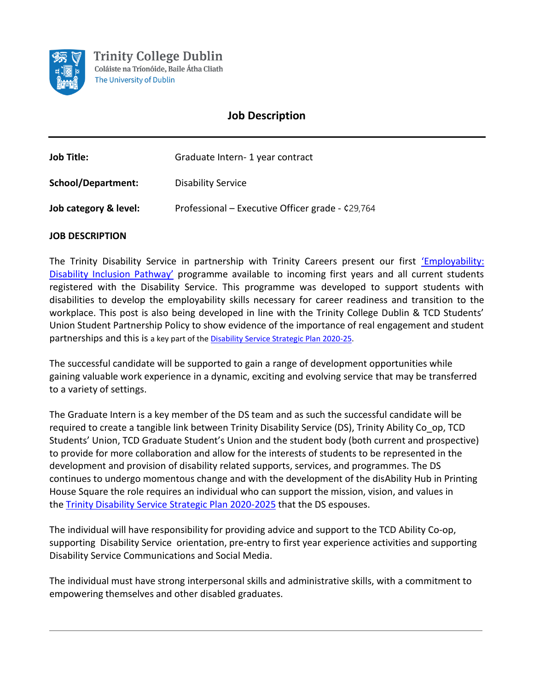

# **Job Description**

| <b>Job Title:</b>     | Graduate Intern - 1 year contract                |
|-----------------------|--------------------------------------------------|
| School/Department:    | <b>Disability Service</b>                        |
| Job category & level: | Professional - Executive Officer grade - ¢29,764 |

# **JOB DESCRIPTION**

The Trinity Disability Service in partnership with Trinity Careers present our first ['Employability:](https://www.tcd.ie/disability/services/career/employability.php)  [Disability Inclusion Pathway'](https://www.tcd.ie/disability/services/career/employability.php) programme available to incoming first years and all current students registered with the Disability Service. This programme was developed to support students with disabilities to develop the employability skills necessary for career readiness and transition to the workplace. This post is also being developed in line with the Trinity College Dublin & TCD Students' Union Student Partnership Policy to show evidence of the importance of real engagement and student partnerships and this is a key part of th[e Disability Service Strategic Plan 2020-25.](https://www.tcd.ie/disability/policies/strategic-plan/)

The successful candidate will be supported to gain a range of development opportunities while gaining valuable work experience in a dynamic, exciting and evolving service that may be transferred to a variety of settings.

The Graduate Intern is a key member of the DS team and as such the successful candidate will be required to create a tangible link between Trinity Disability Service (DS), Trinity Ability Co\_op, TCD Students' Union, TCD Graduate Student's Union and the student body (both current and prospective) to provide for more collaboration and allow for the interests of students to be represented in the development and provision of disability related supports, services, and programmes. The DS continues to undergo momentous change and with the development of the disAbility Hub in Printing House Square the role requires an individual who can support the mission, vision, and values in the [Trinity Disability Service Strategic Plan 2020-2025](https://www.tcd.ie/disability/policies/strategic-plan/) that the DS espouses.

The individual will have responsibility for providing advice and support to the TCD Ability Co-op, supporting Disability Service orientation, pre-entry to first year experience activities and supporting Disability Service Communications and Social Media.

The individual must have strong interpersonal skills and administrative skills, with a commitment to empowering themselves and other disabled graduates.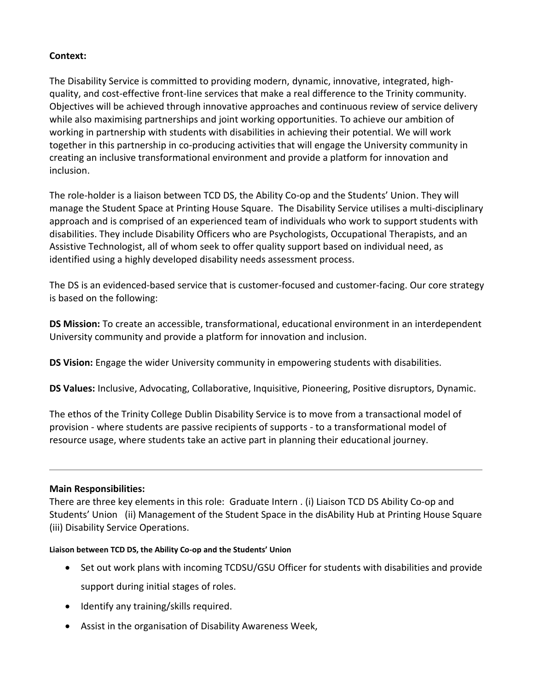# **Context:**

The Disability Service is committed to providing modern, dynamic, innovative, integrated, highquality, and cost-effective front-line services that make a real difference to the Trinity community. Objectives will be achieved through innovative approaches and continuous review of service delivery while also maximising partnerships and joint working opportunities. To achieve our ambition of working in partnership with students with disabilities in achieving their potential. We will work together in this partnership in co-producing activities that will engage the University community in creating an inclusive transformational environment and provide a platform for innovation and inclusion.

The role-holder is a liaison between TCD DS, the Ability Co-op and the Students' Union. They will manage the Student Space at Printing House Square. The Disability Service utilises a multi-disciplinary approach and is comprised of an experienced team of individuals who work to support students with disabilities. They include Disability Officers who are Psychologists, Occupational Therapists, and an Assistive Technologist, all of whom seek to offer quality support based on individual need, as identified using a highly developed disability needs assessment process.

The DS is an evidenced-based service that is customer-focused and customer-facing. Our core strategy is based on the following:

**DS Mission:** To create an accessible, transformational, educational environment in an interdependent University community and provide a platform for innovation and inclusion.

**DS Vision:** Engage the wider University community in empowering students with disabilities.

**DS Values:** Inclusive, Advocating, Collaborative, Inquisitive, Pioneering, Positive disruptors, Dynamic.

The ethos of the Trinity College Dublin Disability Service is to move from a transactional model of provision - where students are passive recipients of supports - to a transformational model of resource usage, where students take an active part in planning their educational journey.

# **Main Responsibilities:**

There are three key elements in this role: Graduate Intern . (i) Liaison TCD DS Ability Co-op and Students' Union (ii) Management of the Student Space in the disAbility Hub at Printing House Square (iii) Disability Service Operations.

#### **Liaison between TCD DS, the Ability Co-op and the Students' Union**

- Set out work plans with incoming TCDSU/GSU Officer for students with disabilities and provide support during initial stages of roles.
- Identify any training/skills required.
- Assist in the organisation of Disability Awareness Week,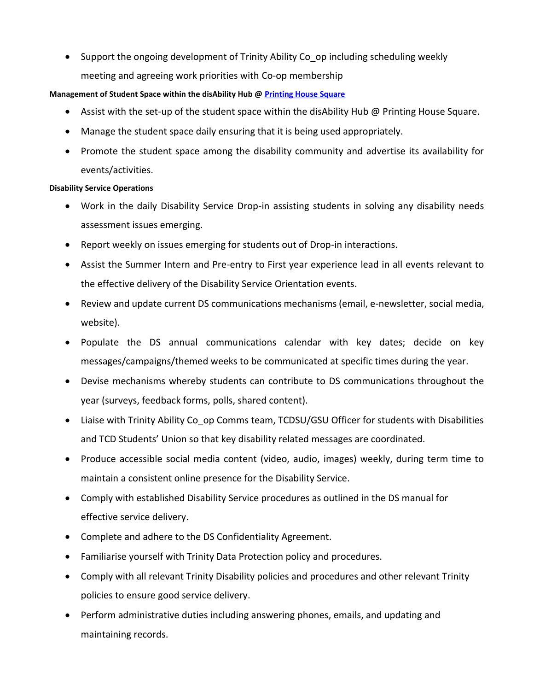• Support the ongoing development of Trinity Ability Co\_op including scheduling weekly meeting and agreeing work priorities with Co-op membership

# **Management of Student Space within the disAbility Hub @ [Printing House Square](https://www.tcd.ie/disability/policies/PHSQ.php)**

- Assist with the set-up of the student space within the disAbility Hub @ Printing House Square.
- Manage the student space daily ensuring that it is being used appropriately.
- Promote the student space among the disability community and advertise its availability for events/activities.

# **Disability Service Operations**

- Work in the daily Disability Service Drop-in assisting students in solving any disability needs assessment issues emerging.
- Report weekly on issues emerging for students out of Drop-in interactions.
- Assist the Summer Intern and Pre-entry to First year experience lead in all events relevant to the effective delivery of the Disability Service Orientation events.
- Review and update current DS communications mechanisms (email, e-newsletter, social media, website).
- Populate the DS annual communications calendar with key dates; decide on key messages/campaigns/themed weeks to be communicated at specific times during the year.
- Devise mechanisms whereby students can contribute to DS communications throughout the year (surveys, feedback forms, polls, shared content).
- Liaise with Trinity Ability Co op Comms team, TCDSU/GSU Officer for students with Disabilities and TCD Students' Union so that key disability related messages are coordinated.
- Produce accessible social media content (video, audio, images) weekly, during term time to maintain a consistent online presence for the Disability Service.
- Comply with established Disability Service procedures as outlined in the DS manual for effective service delivery.
- Complete and adhere to the DS Confidentiality Agreement.
- Familiarise yourself with Trinity Data Protection policy and procedures.
- Comply with all relevant Trinity Disability policies and procedures and other relevant Trinity policies to ensure good service delivery.
- Perform administrative duties including answering phones, emails, and updating and maintaining records.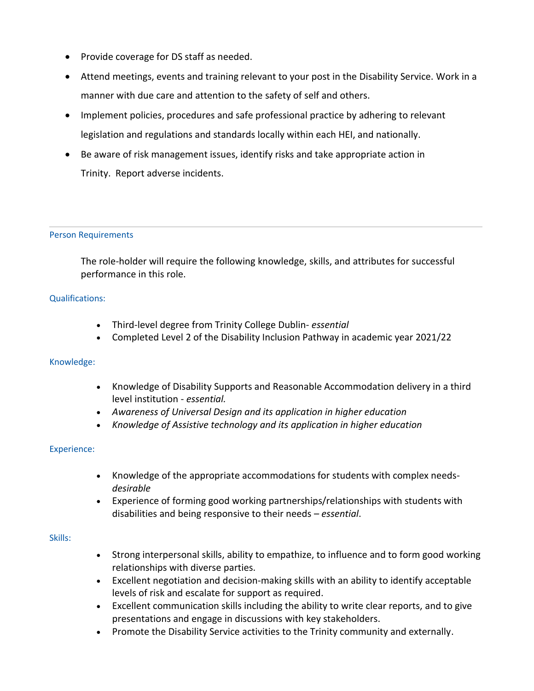- Provide coverage for DS staff as needed.
- Attend meetings, events and training relevant to your post in the Disability Service. Work in a manner with due care and attention to the safety of self and others.
- Implement policies, procedures and safe professional practice by adhering to relevant legislation and regulations and standards locally within each HEI, and nationally.
- Be aware of risk management issues, identify risks and take appropriate action in Trinity. Report adverse incidents.

#### Person Requirements

The role-holder will require the following knowledge, skills, and attributes for successful performance in this role.

#### Qualifications:

- Third-level degree from Trinity College Dublin- *essential*
- Completed Level 2 of the Disability Inclusion Pathway in academic year 2021/22

#### Knowledge:

- Knowledge of Disability Supports and Reasonable Accommodation delivery in a third level institution - *essential.*
- *Awareness of Universal Design and its application in higher education*
- *Knowledge of Assistive technology and its application in higher education*

#### Experience:

- Knowledge of the appropriate accommodations for students with complex needs*desirable*
- Experience of forming good working partnerships/relationships with students with disabilities and being responsive to their needs – *essential*.

### Skills:

- Strong interpersonal skills, ability to empathize, to influence and to form good working relationships with diverse parties.
- Excellent negotiation and decision-making skills with an ability to identify acceptable levels of risk and escalate for support as required.
- Excellent communication skills including the ability to write clear reports, and to give presentations and engage in discussions with key stakeholders.
- Promote the Disability Service activities to the Trinity community and externally.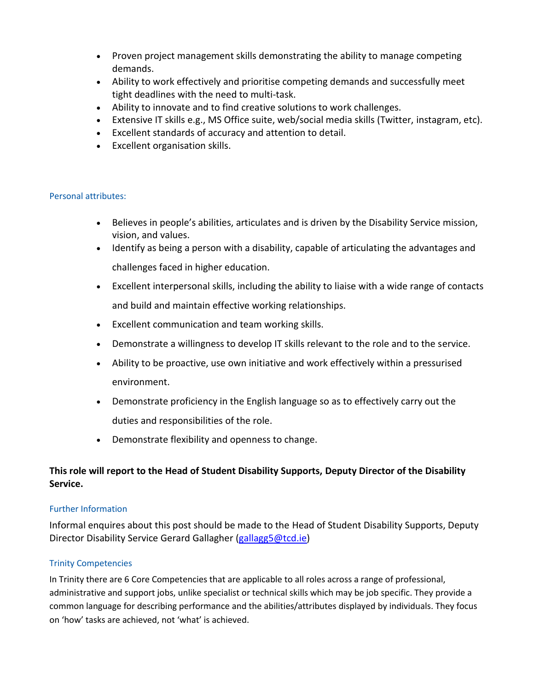- Proven project management skills demonstrating the ability to manage competing demands.
- Ability to work effectively and prioritise competing demands and successfully meet tight deadlines with the need to multi-task.
- Ability to innovate and to find creative solutions to work challenges.
- Extensive IT skills e.g., MS Office suite, web/social media skills (Twitter, instagram, etc).
- Excellent standards of accuracy and attention to detail.
- Excellent organisation skills.

#### Personal attributes:

- Believes in people's abilities, articulates and is driven by the Disability Service mission, vision, and values.
- Identify as being a person with a disability, capable of articulating the advantages and challenges faced in higher education.
- Excellent interpersonal skills, including the ability to liaise with a wide range of contacts and build and maintain effective working relationships.
- Excellent communication and team working skills.
- Demonstrate a willingness to develop IT skills relevant to the role and to the service.
- Ability to be proactive, use own initiative and work effectively within a pressurised environment.
- Demonstrate proficiency in the English language so as to effectively carry out the duties and responsibilities of the role.
- Demonstrate flexibility and openness to change.

# **This role will report to the Head of Student Disability Supports, Deputy Director of the Disability Service.**

#### Further Information

Informal enquires about this post should be made to the Head of Student Disability Supports, Deputy Director Disability Service Gerard Gallagher [\(gallagg5@tcd.ie\)](mailto:gallagg5@tcd.ie)

# Trinity Competencies

In Trinity there are 6 Core Competencies that are applicable to all roles across a range of professional, administrative and support jobs, unlike specialist or technical skills which may be job specific. They provide a common language for describing performance and the abilities/attributes displayed by individuals. They focus on 'how' tasks are achieved, not 'what' is achieved.